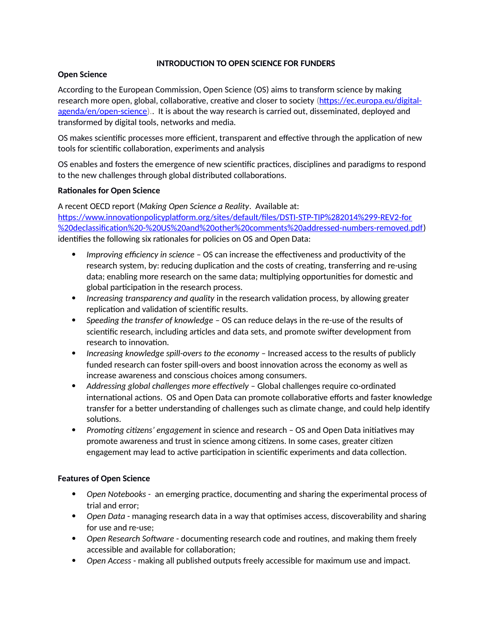# **INTRODUCTION TO OPEN SCIENCE FOR FUNDERS**

#### **Open Science**

According to the European Commission, Open Science (OS) aims to transform science by making research more open, global, collaborative, creative and closer to society [\(https://ec.europa.eu/digital](https://ec.europa.eu/digital-agenda/en/open-science)[agenda/en/open-science\)](https://ec.europa.eu/digital-agenda/en/open-science).. It is about the way research is carried out, disseminated, deployed and transformed by digital tools, networks and media.

OS makes scientific processes more efficient, transparent and effective through the application of new tools for scientific collaboration, experiments and analysis

OS enables and fosters the emergence of new scientific practices, disciplines and paradigms to respond to the new challenges through global distributed collaborations.

# **Rationales for Open Science**

A recent OECD report (*Making Open Science a Reality*. Available at: [https://www.innovationpolicyplatform.org/sites/default/files/DSTI-STP-TIP%282014%299-REV2-for](https://www.innovationpolicyplatform.org/sites/default/files/DSTI-STP-TIP(2014)9-REV2-for%20declassification%20-%20US%20and%20other%20comments%20addressed-numbers-removed.pdf) [%20declassification%20-%20US%20and%20other%20comments%20addressed-numbers-removed.pdf\)](https://www.innovationpolicyplatform.org/sites/default/files/DSTI-STP-TIP(2014)9-REV2-for%20declassification%20-%20US%20and%20other%20comments%20addressed-numbers-removed.pdf) identifies the following six rationales for policies on OS and Open Data:

- *Improving efficiency in science*  OS can increase the effectiveness and productivity of the research system, by: reducing duplication and the costs of creating, transferring and re-using data; enabling more research on the same data; multiplying opportunities for domestic and global participation in the research process.
- *Increasing transparency and quality* in the research validation process, by allowing greater replication and validation of scientific results.
- *Speeding the transfer of knowledge*  OS can reduce delays in the re-use of the results of scientific research, including articles and data sets, and promote swifter development from research to innovation.
- Increasing knowledge spill-overs to the economy Increased access to the results of publicly funded research can foster spill-overs and boost innovation across the economy as well as increase awareness and conscious choices among consumers.
- *Addressing global challenges more effectively*  Global challenges require co-ordinated international actions. OS and Open Data can promote collaborative efforts and faster knowledge transfer for a better understanding of challenges such as climate change, and could help identify solutions.
- *Promoting citizens' engagement* in science and research OS and Open Data initiatives may promote awareness and trust in science among citizens. In some cases, greater citizen engagement may lead to active participation in scientific experiments and data collection.

# **Features of Open Science**

- *Open Notebooks -* an emerging practice, documenting and sharing the experimental process of trial and error;
- *Open Data* managing research data in a way that optimises access, discoverability and sharing for use and re-use;
- *Open Research Software* documenting research code and routines, and making them freely accessible and available for collaboration;
- *Open Access* making all published outputs freely accessible for maximum use and impact.